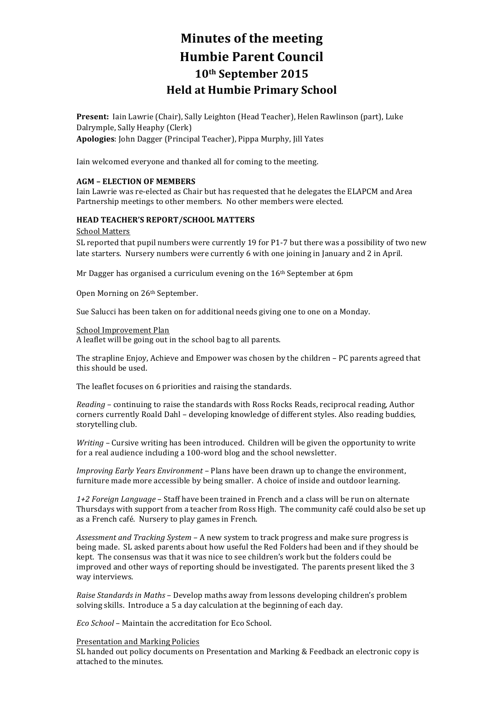# **Minutes of the meeting Humbie Parent Council 10th September 2015 Held at Humbie Primary School**

Present: Iain Lawrie (Chair), Sally Leighton (Head Teacher), Helen Rawlinson (part), Luke Dalrymple, Sally Heaphy (Clerk) **Apologies**: John Dagger (Principal Teacher), Pippa Murphy, Jill Yates

Iain welcomed everyone and thanked all for coming to the meeting.

#### **AGM – ELECTION OF MEMBERS**

Iain Lawrie was re-elected as Chair but has requested that he delegates the ELAPCM and Area Partnership meetings to other members. No other members were elected.

# **HEAD TEACHER'S REPORT/SCHOOL MATTERS**

#### School Matters

SL reported that pupil numbers were currently 19 for P1-7 but there was a possibility of two new late starters. Nursery numbers were currently 6 with one joining in January and 2 in April.

Mr Dagger has organised a curriculum evening on the  $16<sup>th</sup>$  September at 6pm

Open Morning on 26<sup>th</sup> September.

Sue Salucci has been taken on for additional needs giving one to one on a Monday.

#### School Improvement Plan

A leaflet will be going out in the school bag to all parents.

The strapline Enjoy, Achieve and Empower was chosen by the children – PC parents agreed that this should be used.

The leaflet focuses on 6 priorities and raising the standards.

*Reading* – continuing to raise the standards with Ross Rocks Reads, reciprocal reading, Author corners currently Roald Dahl - developing knowledge of different styles. Also reading buddies, storytelling club.

*Writing* – Cursive writing has been introduced. Children will be given the opportunity to write for a real audience including a 100-word blog and the school newsletter.

*Improving Early Years Environment* – Plans have been drawn up to change the environment, furniture made more accessible by being smaller. A choice of inside and outdoor learning.

*1+2 Foreign Language* – Staff have been trained in French and a class will be run on alternate Thursdays with support from a teacher from Ross High. The community café could also be set up as a French café. Nursery to play games in French.

Assessment and Tracking System – A new system to track progress and make sure progress is being made. SL asked parents about how useful the Red Folders had been and if they should be kept. The consensus was that it was nice to see children's work but the folders could be improved and other ways of reporting should be investigated. The parents present liked the 3 way interviews.

*Raise Standards in Maths* – Develop maths away from lessons developing children's problem solving skills. Introduce a 5 a day calculation at the beginning of each day.

*Eco School* – Maintain the accreditation for Eco School.

#### Presentation and Marking Policies

SL handed out policy documents on Presentation and Marking & Feedback an electronic copy is attached to the minutes.